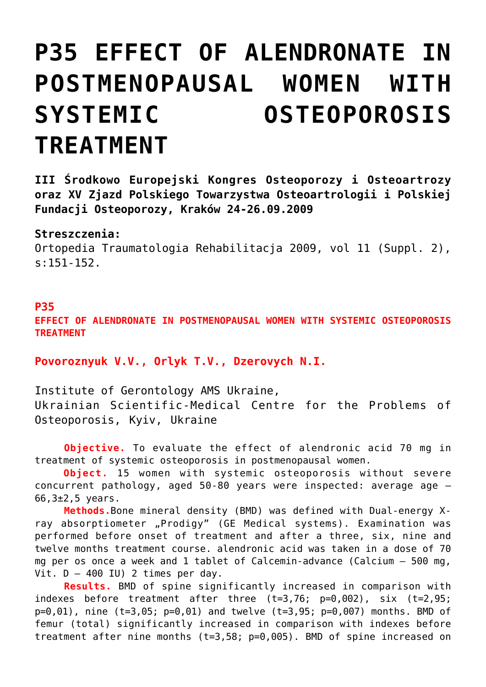## **[P35 EFFECT OF ALENDRONATE IN](https://osteoporoza.pl/effect-of-alendronate-in-postmenopausal-women-with-systemic-osteoporosis-treatment/) [POSTMENOPAUSAL WOMEN WITH](https://osteoporoza.pl/effect-of-alendronate-in-postmenopausal-women-with-systemic-osteoporosis-treatment/) [SYSTEMIC OSTEOPOROSIS](https://osteoporoza.pl/effect-of-alendronate-in-postmenopausal-women-with-systemic-osteoporosis-treatment/) [TREATMENT](https://osteoporoza.pl/effect-of-alendronate-in-postmenopausal-women-with-systemic-osteoporosis-treatment/)**

**III Środkowo Europejski Kongres Osteoporozy i Osteoartrozy oraz XV Zjazd Polskiego Towarzystwa Osteoartrologii i Polskiej Fundacji Osteoporozy, Kraków 24-26.09.2009**

## **Streszczenia:**

Ortopedia Traumatologia Rehabilitacja 2009, vol 11 (Suppl. 2), s:151-152.

## **P35**

**EFFECT OF ALENDRONATE IN POSTMENOPAUSAL WOMEN WITH SYSTEMIC OSTEOPOROSIS TREATMENT**

**Povoroznyuk V.V., Orlyk T.V., Dzerovych N.I.**

Institute of Gerontology AMS Ukraine, Ukrainian Scientific-Medical Centre for the Problems of Osteoporosis, Kyiv, Ukraine

**Objective.** To evaluate the effect of alendronic acid 70 mg in treatment of systemic osteoporosis in postmenopausal women.

**Object.** 15 women with systemic osteoporosis without severe concurrent pathology, aged 50-80 years were inspected: average age –  $66,3{\pm}2,5$  years.

**Methods.**Bone mineral density (BMD) was defined with Dual-energy Xray absorptiometer "Prodigy" (GE Medical systems). Examination was performed before onset of treatment and after a three, six, nine and twelve months treatment course. alendronic acid was taken in a dose of 70 mg per os once a week and 1 tablet of Calcemin-advance (Calcium – 500 mg, Vit.  $D - 400$  IU) 2 times per day.

**Results.** BMD of spine significantly increased in comparison with indexes before treatment after three (t=3,76; p=0,002), six (t=2,95; p=0,01), nine (t=3,05; p=0,01) and twelve (t=3,95; p=0,007) months. BMD of femur (total) significantly increased in comparison with indexes before treatment after nine months (t=3,58; p=0,005). BMD of spine increased on